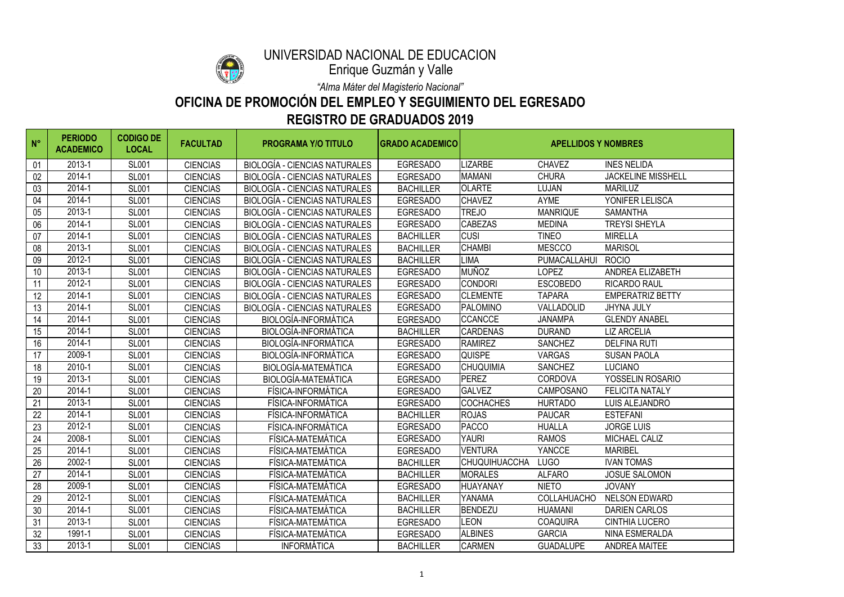| $N^{\circ}$ | <b>PERIODO</b><br><b>ACADEMICO</b> | <b>CODIGO DE</b><br><b>LOCAL</b> | <b>FACULTAD</b> | <b>PROGRAMA Y/O TITULO</b>           | <b>GRADO ACADEMICO</b> | <b>APELLIDOS Y NOMBRES</b> |                    |                           |
|-------------|------------------------------------|----------------------------------|-----------------|--------------------------------------|------------------------|----------------------------|--------------------|---------------------------|
| 01          | 2013-1                             | <b>SL001</b>                     | <b>CIENCIAS</b> | <b>BIOLOGÍA - CIENCIAS NATURALES</b> | <b>EGRESADO</b>        | <b>LIZARBE</b>             | <b>CHAVEZ</b>      | <b>INES NELIDA</b>        |
| 02          | 2014-1                             | <b>SL001</b>                     | <b>CIENCIAS</b> | <b>BIOLOGÍA - CIENCIAS NATURALES</b> | <b>EGRESADO</b>        | <b>MAMANI</b>              | <b>CHURA</b>       | <b>JACKELINE MISSHELL</b> |
| 03          | 2014-1                             | <b>SL001</b>                     | <b>CIENCIAS</b> | <b>BIOLOGÍA - CIENCIAS NATURALES</b> | <b>BACHILLER</b>       | <b>OLARTE</b>              | <b>LUJAN</b>       | <b>MARILUZ</b>            |
| 04          | 2014-1                             | <b>SL001</b>                     | <b>CIENCIAS</b> | <b>BIOLOGÍA - CIENCIAS NATURALES</b> | <b>EGRESADO</b>        | <b>CHAVEZ</b>              | <b>AYME</b>        | YONIFER LELISCA           |
| 05          | 2013-1                             | <b>SL001</b>                     | <b>CIENCIAS</b> | BIOLOGÍA - CIENCIAS NATURALES        | <b>EGRESADO</b>        | <b>TREJO</b>               | <b>MANRIQUE</b>    | <b>SAMANTHA</b>           |
| 06          | 2014-1                             | <b>SL001</b>                     | <b>CIENCIAS</b> | <b>BIOLOGÍA - CIENCIAS NATURALES</b> | <b>EGRESADO</b>        | <b>CABEZAS</b>             | <b>MEDINA</b>      | <b>TREYSI SHEYLA</b>      |
| 07          | 2014-1                             | <b>SL001</b>                     | <b>CIENCIAS</b> | <b>BIOLOGÍA - CIENCIAS NATURALES</b> | <b>BACHILLER</b>       | <b>CUSI</b>                | <b>TINEO</b>       | <b>MIRELLA</b>            |
| 08          | 2013-1                             | <b>SL001</b>                     | <b>CIENCIAS</b> | <b>BIOLOGÍA - CIENCIAS NATURALES</b> | <b>BACHILLER</b>       | <b>CHAMBI</b>              | <b>MESCCO</b>      | <b>MARISOL</b>            |
| 09          | 2012-1                             | <b>SL001</b>                     | <b>CIENCIAS</b> | <b>BIOLOGÍA - CIENCIAS NATURALES</b> | <b>BACHILLER</b>       | <b>LIMA</b>                | PUMACALLAHUI       | <b>ROCIO</b>              |
| 10          | 2013-1                             | <b>SL001</b>                     | <b>CIENCIAS</b> | <b>BIOLOGÍA - CIENCIAS NATURALES</b> | <b>EGRESADO</b>        | <b>MUÑOZ</b>               | <b>LOPEZ</b>       | <b>ANDREA ELIZABETH</b>   |
| 11          | 2012-1                             | <b>SL001</b>                     | <b>CIENCIAS</b> | <b>BIOLOGÍA - CIENCIAS NATURALES</b> | <b>EGRESADO</b>        | <b>CONDORI</b>             | <b>ESCOBEDO</b>    | <b>RICARDO RAUL</b>       |
| 12          | 2014-1                             | <b>SL001</b>                     | <b>CIENCIAS</b> | <b>BIOLOGÍA - CIENCIAS NATURALES</b> | <b>EGRESADO</b>        | <b>CLEMENTE</b>            | <b>TAPARA</b>      | <b>EMPERATRIZ BETTY</b>   |
| 13          | 2014-1                             | <b>SL001</b>                     | <b>CIENCIAS</b> | <b>BIOLOGÍA - CIENCIAS NATURALES</b> | <b>EGRESADO</b>        | <b>PALOMINO</b>            | VALLADOLID         | <b>JHYNA JULY</b>         |
| 14          | 2014-1                             | <b>SL001</b>                     | <b>CIENCIAS</b> | <b>BIOLOGÍA-INFORMÁTICA</b>          | <b>EGRESADO</b>        | <b>CCANCCE</b>             | <b>JANAMPA</b>     | <b>GLENDY ANABEL</b>      |
| 15          | 2014-1                             | <b>SL001</b>                     | <b>CIENCIAS</b> | <b>BIOLOGÍA-INFORMÁTICA</b>          | <b>BACHILLER</b>       | <b>CARDENAS</b>            | <b>DURAND</b>      | <b>LIZ ARCELIA</b>        |
| 16          | 2014-1                             | <b>SL001</b>                     | <b>CIENCIAS</b> | BIOLOGÍA-INFORMÁTICA                 | <b>EGRESADO</b>        | <b>RAMIREZ</b>             | <b>SANCHEZ</b>     | <b>DELFINA RUTI</b>       |
| 17          | 2009-1                             | <b>SL001</b>                     | <b>CIENCIAS</b> | <b>BIOLOGÍA-INFORMÁTICA</b>          | <b>EGRESADO</b>        | <b>QUISPE</b>              | <b>VARGAS</b>      | <b>SUSAN PAOLA</b>        |
| 18          | 2010-1                             | <b>SL001</b>                     | <b>CIENCIAS</b> | <b>BIOLOGÍA-MATEMÁTICA</b>           | <b>EGRESADO</b>        | <b>CHUQUIMIA</b>           | <b>SANCHEZ</b>     | <b>LUCIANO</b>            |
| 19          | 2013-1                             | <b>SL001</b>                     | <b>CIENCIAS</b> | <b>BIOLOGÍA-MATEMÁTICA</b>           | <b>EGRESADO</b>        | <b>PEREZ</b>               | <b>CORDOVA</b>     | YOSSELIN ROSARIO          |
| 20          | 2014-1                             | <b>SL001</b>                     | <b>CIENCIAS</b> | FÍSICA-INFORMÁTICA                   | <b>EGRESADO</b>        | <b>GALVEZ</b>              | <b>CAMPOSANO</b>   | <b>FELICITA NATALY</b>    |
| 21          | 2013-1                             | <b>SL001</b>                     | <b>CIENCIAS</b> | FÍSICA-INFORMÁTICA                   | <b>EGRESADO</b>        | <b>COCHACHES</b>           | <b>HURTADO</b>     | LUIS ALEJANDRO            |
| 22          | 2014-1                             | <b>SL001</b>                     | <b>CIENCIAS</b> | FÍSICA-INFORMÁTICA                   | <b>BACHILLER</b>       | <b>ROJAS</b>               | <b>PAUCAR</b>      | <b>ESTEFANI</b>           |
| 23          | 2012-1                             | <b>SL001</b>                     | <b>CIENCIAS</b> | FÍSICA-INFORMÁTICA                   | <b>EGRESADO</b>        | <b>PACCO</b>               | <b>HUALLA</b>      | <b>JORGE LUIS</b>         |
| 24          | 2008-1                             | <b>SL001</b>                     | <b>CIENCIAS</b> | FÍSICA-MATEMÁTICA                    | <b>EGRESADO</b>        | <b>YAURI</b>               | <b>RAMOS</b>       | <b>MICHAEL CALIZ</b>      |
| 25          | 2014-1                             | <b>SL001</b>                     | <b>CIENCIAS</b> | FÍSICA-MATEMÁTICA                    | <b>EGRESADO</b>        | <b>VENTURA</b>             | YANCCE             | <b>MARIBEL</b>            |
| 26          | 2002-1                             | <b>SL001</b>                     | <b>CIENCIAS</b> | FÍSICA-MATEMÁTICA                    | <b>BACHILLER</b>       | <b>CHUQUIHUACCHA</b>       | <b>LUGO</b>        | <b>IVAN TOMAS</b>         |
| 27          | 2014-1                             | <b>SL001</b>                     | <b>CIENCIAS</b> | FÍSICA-MATEMÁTICA                    | <b>BACHILLER</b>       | <b>MORALES</b>             | <b>ALFARO</b>      | <b>JOSUE SALOMON</b>      |
| 28          | 2009-1                             | <b>SL001</b>                     | <b>CIENCIAS</b> | FÍSICA-MATEMÁTICA                    | <b>EGRESADO</b>        | <b>HUAYANAY</b>            | <b>NIETO</b>       | <b>JOVANY</b>             |
| 29          | 2012-1                             | <b>SL001</b>                     | <b>CIENCIAS</b> | FÍSICA-MATEMÁTICA                    | <b>BACHILLER</b>       | YANAMA                     | <b>COLLAHUACHO</b> | <b>NELSON EDWARD</b>      |
| 30          | 2014-1                             | <b>SL001</b>                     | <b>CIENCIAS</b> | FÍSICA-MATEMÁTICA                    | <b>BACHILLER</b>       | <b>BENDEZU</b>             | <b>HUAMANI</b>     | <b>DARIEN CARLOS</b>      |
| 31          | 2013-1                             | <b>SL001</b>                     | <b>CIENCIAS</b> | FÍSICA-MATEMÁTICA                    | <b>EGRESADO</b>        | LEON                       | <b>COAQUIRA</b>    | <b>CINTHIA LUCERO</b>     |
| 32          | 1991-1                             | <b>SL001</b>                     | <b>CIENCIAS</b> | FÍSICA-MATEMÁTICA                    | <b>EGRESADO</b>        | <b>ALBINES</b>             | <b>GARCIA</b>      | NINA ESMERALDA            |
| 33          | 2013-1                             | <b>SL001</b>                     | <b>CIENCIAS</b> | <b>INFORMÁTICA</b>                   | <b>BACHILLER</b>       | <b>CARMEN</b>              | <b>GUADALUPE</b>   | <b>ANDREA MAITEE</b>      |



## UNIVERSIDAD NACIONAL DE EDUCACIÓN

### **OFICINA DE PROMOCIÓN DEL EMPLEO Y SEGUIMIENTO DEL EGRESADO REGISTRO DE GRADUADOS 2019**

*"Alma Máter del Magisterio Nacional"*

Enrique Guzmán y Valle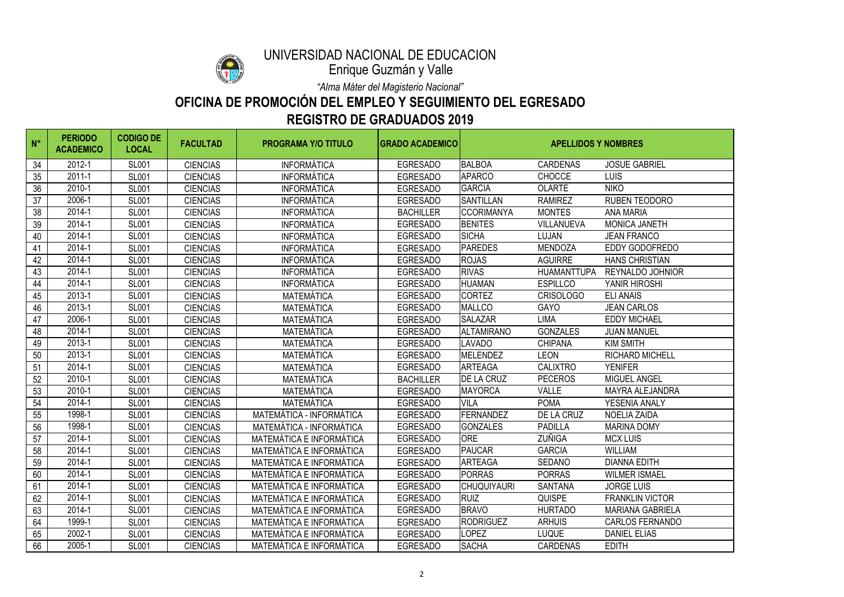

# UNIVERSIDAD NACIONAL DE EDUCACIÓN

#### **OFICINA DE PROMOCIÓN DEL EMPLEO Y SEGUIMIENTO DEL EGRESADO REGISTRO DE GRADUADOS 2019**

*"Alma Máter del Magisterio Nacional"*

Enrique Guzmán y Valle

| $N^{\circ}$ | <b>PERIODO</b><br><b>ACADEMICO</b> | <b>CODIGO DE</b><br><b>LOCAL</b> | <b>FACULTAD</b> | <b>PROGRAMA Y/O TITULO</b>      | <b>GRADO ACADEMICO</b> | <b>APELLIDOS Y NOMBRES</b> |                    |                         |
|-------------|------------------------------------|----------------------------------|-----------------|---------------------------------|------------------------|----------------------------|--------------------|-------------------------|
| 34          | 2012-1                             | <b>SL001</b>                     | <b>CIENCIAS</b> | <b>INFORMÁTICA</b>              | <b>EGRESADO</b>        | <b>BALBOA</b>              | <b>CARDENAS</b>    | <b>JOSUE GABRIEL</b>    |
| 35          | $2011 - 1$                         | <b>SL001</b>                     | <b>CIENCIAS</b> | <b>INFORMÁTICA</b>              | <b>EGRESADO</b>        | <b>APARCO</b>              | <b>CHOCCE</b>      | <b>LUIS</b>             |
| 36          | 2010-1                             | <b>SL001</b>                     | <b>CIENCIAS</b> | <b>INFORMÁTICA</b>              | <b>EGRESADO</b>        | <b>GARCIA</b>              | <b>OLARTE</b>      | <b>NIKO</b>             |
| 37          | 2006-1                             | <b>SL001</b>                     | <b>CIENCIAS</b> | <b>INFORMÁTICA</b>              | <b>EGRESADO</b>        | <b>SANTILLAN</b>           | <b>RAMIREZ</b>     | <b>RUBEN TEODORO</b>    |
| 38          | 2014-1                             | <b>SL001</b>                     | <b>CIENCIAS</b> | <b>INFORMÁTICA</b>              | <b>BACHILLER</b>       | <b>CCORIMANYA</b>          | <b>MONTES</b>      | <b>ANA MARIA</b>        |
| 39          | 2014-1                             | <b>SL001</b>                     | <b>CIENCIAS</b> | <b>INFORMÁTICA</b>              | <b>EGRESADO</b>        | <b>BENITES</b>             | <b>VILLANUEVA</b>  | <b>MONICA JANETH</b>    |
| 40          | 2014-1                             | <b>SL001</b>                     | <b>CIENCIAS</b> | <b>INFORMÁTICA</b>              | <b>EGRESADO</b>        | <b>SICHA</b>               | <b>LUJAN</b>       | <b>JEAN FRANCO</b>      |
| 41          | 2014-1                             | <b>SL001</b>                     | <b>CIENCIAS</b> | <b>INFORMÁTICA</b>              | <b>EGRESADO</b>        | <b>PAREDES</b>             | <b>MENDOZA</b>     | <b>EDDY GODOFREDO</b>   |
| 42          | 2014-1                             | <b>SL001</b>                     | <b>CIENCIAS</b> | <b>INFORMÁTICA</b>              | <b>EGRESADO</b>        | <b>ROJAS</b>               | <b>AGUIRRE</b>     | <b>HANS CHRISTIAN</b>   |
| 43          | 2014-1                             | <b>SL001</b>                     | <b>CIENCIAS</b> | <b>INFORMÁTICA</b>              | <b>EGRESADO</b>        | <b>RIVAS</b>               | <b>HUAMANTTUPA</b> | <b>REYNALDO JOHNIOR</b> |
| 44          | 2014-1                             | <b>SL001</b>                     | <b>CIENCIAS</b> | <b>INFORMÁTICA</b>              | <b>EGRESADO</b>        | <b>HUAMAN</b>              | <b>ESPILLCO</b>    | YANIR HIROSHI           |
| 45          | 2013-1                             | <b>SL001</b>                     | <b>CIENCIAS</b> | MATEMÁTICA                      | <b>EGRESADO</b>        | <b>CORTEZ</b>              | <b>CRISOLOGO</b>   | <b>ELI ANAIS</b>        |
| 46          | 2013-1                             | <b>SL001</b>                     | <b>CIENCIAS</b> | MATEMÁTICA                      | <b>EGRESADO</b>        | <b>MALLCO</b>              | <b>GAYO</b>        | <b>JEAN CARLOS</b>      |
| 47          | 2006-1                             | <b>SL001</b>                     | <b>CIENCIAS</b> | <b>MATEMÁTICA</b>               | <b>EGRESADO</b>        | <b>SALAZAR</b>             | <b>LIMA</b>        | <b>EDDY MICHAEL</b>     |
| 48          | 2014-1                             | <b>SL001</b>                     | <b>CIENCIAS</b> | MATEMÁTICA                      | <b>EGRESADO</b>        | <b>ALTAMIRANO</b>          | <b>GONZALES</b>    | <b>JUAN MANUEL</b>      |
| 49          | 2013-1                             | <b>SL001</b>                     | <b>CIENCIAS</b> | MATEMÁTICA                      | <b>EGRESADO</b>        | <b>LAVADO</b>              | <b>CHIPANA</b>     | <b>KIM SMITH</b>        |
| 50          | 2013-1                             | <b>SL001</b>                     | <b>CIENCIAS</b> | MATEMÁTICA                      | <b>EGRESADO</b>        | <b>IMELENDEZ</b>           | <b>LEON</b>        | <b>RICHARD MICHELL</b>  |
| 51          | 2014-1                             | <b>SL001</b>                     | <b>CIENCIAS</b> | MATEMÁTICA                      | <b>EGRESADO</b>        | <b>ARTEAGA</b>             | <b>CALIXTRO</b>    | <b>YENIFER</b>          |
| 52          | 2010-1                             | <b>SL001</b>                     | <b>CIENCIAS</b> | <b>MATEMÁTICA</b>               | <b>BACHILLER</b>       | <b>DE LA CRUZ</b>          | <b>PECEROS</b>     | <b>MIGUEL ANGEL</b>     |
| 53          | 2010-1                             | <b>SL001</b>                     | <b>CIENCIAS</b> | MATEMÁTICA                      | <b>EGRESADO</b>        | <b>MAYORCA</b>             | <b>VALLE</b>       | <b>MAYRA ALEJANDRA</b>  |
| 54          | 2014-1                             | <b>SL001</b>                     | <b>CIENCIAS</b> | MATEMÁTICA                      | <b>EGRESADO</b>        | <b>VILA</b>                | <b>POMA</b>        | YESENIA ANALY           |
| 55          | 1998-1                             | <b>SL001</b>                     | <b>CIENCIAS</b> | <b>MATEMÁTICA - INFORMÁTICA</b> | <b>EGRESADO</b>        | <b>FERNANDEZ</b>           | DE LA CRUZ         | <b>NOELIA ZAIDA</b>     |
| 56          | 1998-1                             | <b>SL001</b>                     | <b>CIENCIAS</b> | MATEMÁTICA - INFORMÁTICA        | <b>EGRESADO</b>        | <b>GONZALES</b>            | <b>PADILLA</b>     | <b>MARINA DOMY</b>      |
| 57          | 2014-1                             | <b>SL001</b>                     | <b>CIENCIAS</b> | MATEMÁTICA E INFORMÁTICA        | <b>EGRESADO</b>        | <b>ORE</b>                 | <b>ZUÑIGA</b>      | <b>MCX LUIS</b>         |
| 58          | $2014 - 1$                         | <b>SL001</b>                     | <b>CIENCIAS</b> | <b>MATEMÁTICA E INFORMÁTICA</b> | <b>EGRESADO</b>        | PAUCAR                     | <b>GARCIA</b>      | WILLIAM                 |
| 59          | 2014-1                             | <b>SL001</b>                     | <b>CIENCIAS</b> | <b>MATEMÁTICA E INFORMÁTICA</b> | <b>EGRESADO</b>        | <b>ARTEAGA</b>             | <b>SEDANO</b>      | <b>DIANNA EDITH</b>     |
| 60          | 2014-1                             | <b>SL001</b>                     | <b>CIENCIAS</b> | <b>MATEMÁTICA E INFORMÁTICA</b> | <b>EGRESADO</b>        | <b>PORRAS</b>              | <b>PORRAS</b>      | <b>WILMER ISMAEL</b>    |
| 61          | 2014-1                             | <b>SL001</b>                     | <b>CIENCIAS</b> | MATEMÁTICA E INFORMÁTICA        | <b>EGRESADO</b>        | <b>CHUQUIYAURI</b>         | <b>SANTANA</b>     | <b>JORGE LUIS</b>       |
| 62          | 2014-1                             | <b>SL001</b>                     | <b>CIENCIAS</b> | MATEMÁTICA E INFORMÁTICA        | <b>EGRESADO</b>        | <b>RUIZ</b>                | <b>QUISPE</b>      | <b>FRANKLIN VICTOR</b>  |
| 63          | 2014-1                             | <b>SL001</b>                     | <b>CIENCIAS</b> | MATEMÁTICA E INFORMÁTICA        | <b>EGRESADO</b>        | <b>BRAVO</b>               | <b>HURTADO</b>     | <b>MARIANA GABRIELA</b> |
| 64          | 1999-1                             | <b>SL001</b>                     | <b>CIENCIAS</b> | MATEMÁTICA E INFORMÁTICA        | <b>EGRESADO</b>        | <b>RODRIGUEZ</b>           | <b>ARHUIS</b>      | <b>CARLOS FERNANDO</b>  |
| 65          | 2002-1                             | <b>SL001</b>                     | <b>CIENCIAS</b> | <b>MATEMÁTICA E INFORMÁTICA</b> | <b>EGRESADO</b>        | <b>LOPEZ</b>               | <b>LUQUE</b>       | <b>DANIEL ELIAS</b>     |
| 66          | 2005-1                             | <b>SL001</b>                     | <b>CIENCIAS</b> | MATEMÁTICA E INFORMÁTICA        | <b>EGRESADO</b>        | <b>SACHA</b>               | <b>CARDENAS</b>    | <b>EDITH</b>            |